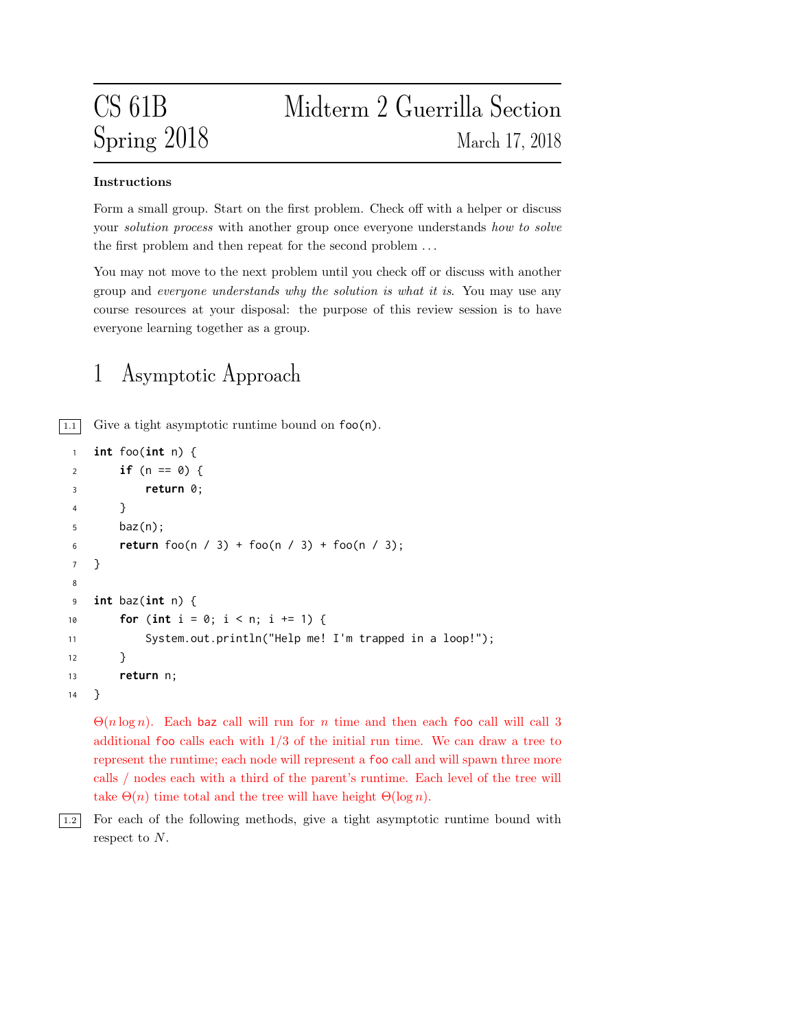### Instructions

Form a small group. Start on the first problem. Check off with a helper or discuss your *solution process* with another group once everyone understands how to solve the first problem and then repeat for the second problem . . .

You may not move to the next problem until you check off or discuss with another group and everyone understands why the solution is what it is. You may use any course resources at your disposal: the purpose of this review session is to have everyone learning together as a group.

# 1 Asymptotic Approach

 $\boxed{1.1}$  Give a tight asymptotic runtime bound on  $\text{foo}(n)$ .

```
1 int foo(int n) {
2 if (n == 0) {
3 return 0;
4 }
5 baz(n);
6 return foo(n / 3) + foo(n / 3) + foo(n / 3);
7 }
8
9 int baz(int n) {
10 for (int i = 0; i < n; i +1) {
11 System.out.println("Help me! I'm trapped in a loop!");
12 }
13 return n;
14 }
```
 $\Theta(n \log n)$ . Each baz call will run for n time and then each foo call will call 3 additional foo calls each with  $1/3$  of the initial run time. We can draw a tree to represent the runtime; each node will represent a foo call and will spawn three more calls / nodes each with a third of the parent's runtime. Each level of the tree will take  $\Theta(n)$  time total and the tree will have height  $\Theta(\log n)$ .

1.2 For each of the following methods, give a tight asymptotic runtime bound with respect to N.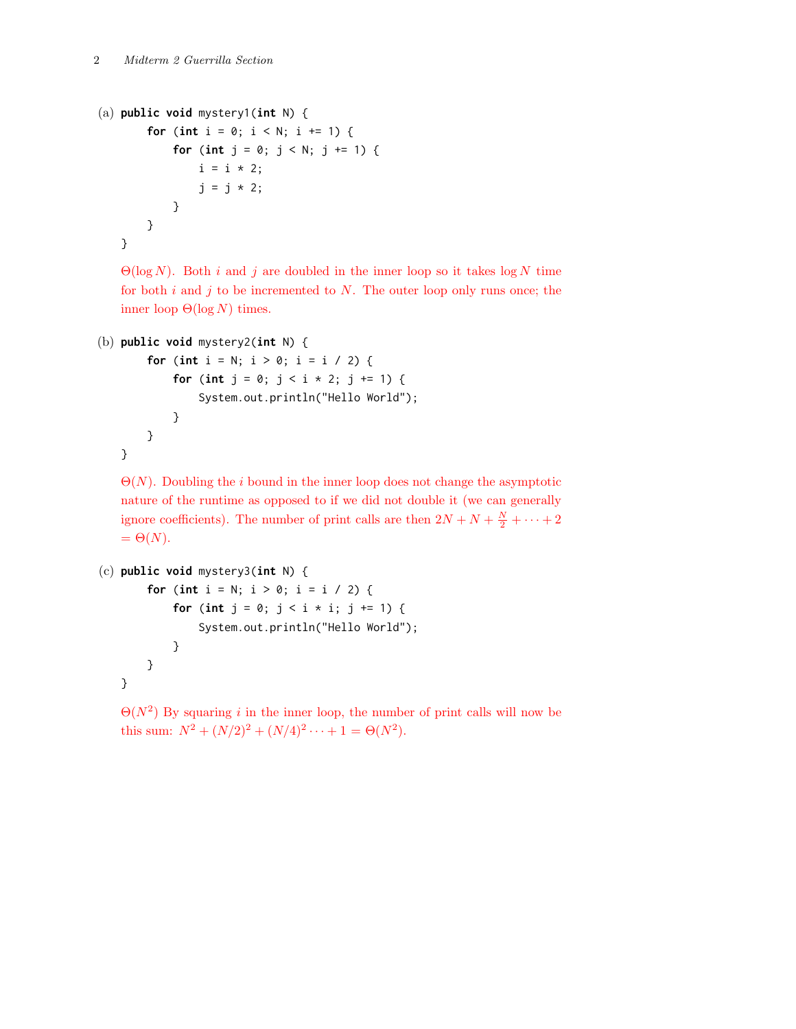```
(a) public void mystery1(int N) {
       for (int i = 0; i < N; i \neq 1) {
            for (int j = 0; j < N; j \neq 1) {
                i = i * 2;
                j = j * 2;}
       }
   }
```
 $\Theta(\log N)$ . Both *i* and *j* are doubled in the inner loop so it takes log N time for both  $i$  and  $j$  to be incremented to  $N$ . The outer loop only runs once; the inner loop  $\Theta(\log N)$  times.

```
(b) public void mystery2(int N) {
```

```
for (int i = N; i > 0; i = i / 2) {
        for (int j = 0; j < i + 2; j += 1) {
            System.out.println("Hello World");
        }
    }
}
```
 $\Theta(N)$ . Doubling the *i* bound in the inner loop does not change the asymptotic nature of the runtime as opposed to if we did not double it (we can generally ignore coefficients). The number of print calls are then  $2N + N + \frac{N}{2} + \cdots + 2$  $= \Theta(N).$ 

```
(c) public void mystery3(int N) {
       for (int i = N; i > 0; i = i / 2) {
           for (int j = 0; j < i * i; j += 1) {
               System.out.println("Hello World");
           }
       }
   }
```
 $\Theta(N^2)$  By squaring i in the inner loop, the number of print calls will now be this sum:  $N^2 + (N/2)^2 + (N/4)^2 \cdots + 1 = \Theta(N^2)$ .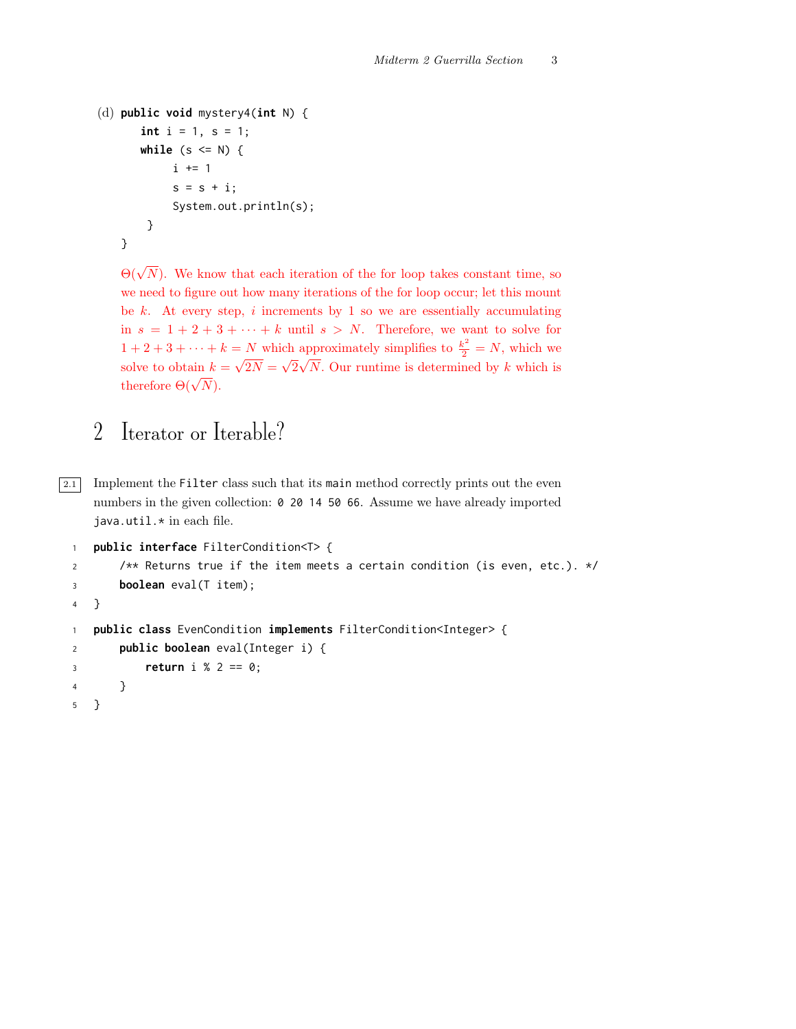```
(d) public void mystery4(int N) {
      int i = 1, s = 1;while (s \leq N) {
            i \neq 1s = s + i;System.out.println(s);
       }
   }
```
 $\Theta(\sqrt{N})$ . We know that each iteration of the for loop takes constant time, so we need to figure out how many iterations of the for loop occur; let this mount be  $k$ . At every step,  $i$  increments by 1 so we are essentially accumulating in  $s = 1 + 2 + 3 + \cdots + k$  until  $s > N$ . Therefore, we want to solve for  $1 + 2 + 3 + \cdots + k = N$  which approximately simplifies to  $\frac{k^2}{2} = N$ , which we solve to obtain  $k = \sqrt{2N} =$ √  $2\sqrt{N}$ . Our runtime is determined by k which is therefore  $\Theta(\sqrt{N})$ .

## 2 Iterator or Iterable?

 $\boxed{2.1}$  Implement the Filter class such that its main method correctly prints out the even numbers in the given collection: 0 20 14 50 66. Assume we have already imported java.util.\* in each file.

```
1 public interface FilterCondition<T> {
2 /** Returns true if the item meets a certain condition (is even, etc.). */
3 boolean eval(T item);
4 }
1 public class EvenCondition implements FilterCondition<Integer> {
2 public boolean eval(Integer i) {
3 return i % 2 == 0;
4 }
5 }
```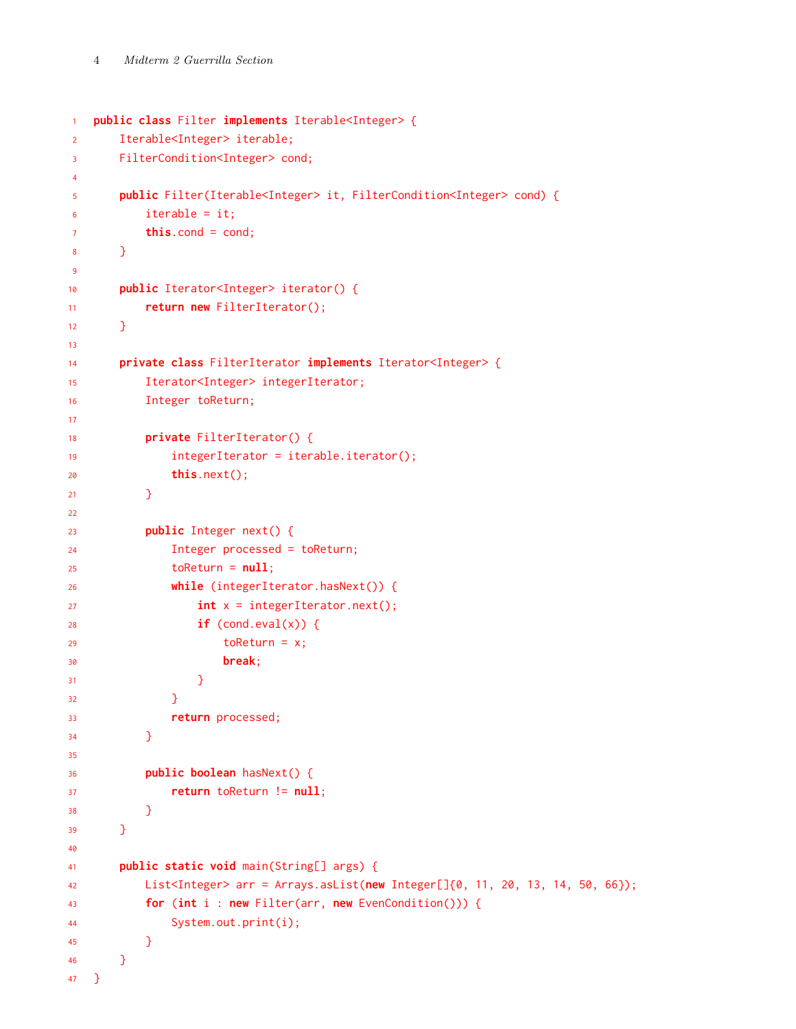```
1 public class Filter implements Iterable<Integer> {
2 Iterable<Integer> iterable;
3 FilterCondition<Integer> cond;
4
5 public Filter(Iterable<Integer> it, FilterCondition<Integer> cond) {
6 iterable = it;
         this.cond = cond;
8 }
\alpha10 public Iterator<Integer> iterator() {
11 return new FilterIterator();
12 }
13
14 private class FilterIterator implements Iterator<Integer> {
15 Iterator<Integer> integerIterator;
16 Integer toReturn;
17
18 private FilterIterator() {
19 integerIterator = iterable.iterator();
20 this.next();
21 }
22
23 public Integer next() {
24 Integer processed = toReturn;
25 toReturn = null;26 while (integerIterator.hasNext()) {
27 int x = integerIterator.next();
28 if (cond.eval(x)) {
29 toReturn = x;
30 break;
\overline{\phantom{a}} 31 \overline{\phantom{a}} 31
\overline{\phantom{a}32} }
33 return processed;
34 }
35
36 public boolean hasNext() {
37 return toReturn != null;
38 }
39 }
40
41 public static void main(String[] args) {
42 List<Integer> arr = Arrays.asList(new Integer[]{0, 11, 20, 13, 14, 50, 66});
43 for (int i : new Filter(arr, new EvenCondition())) {
44 System.out.print(i);
45 }
46 }
47 }
```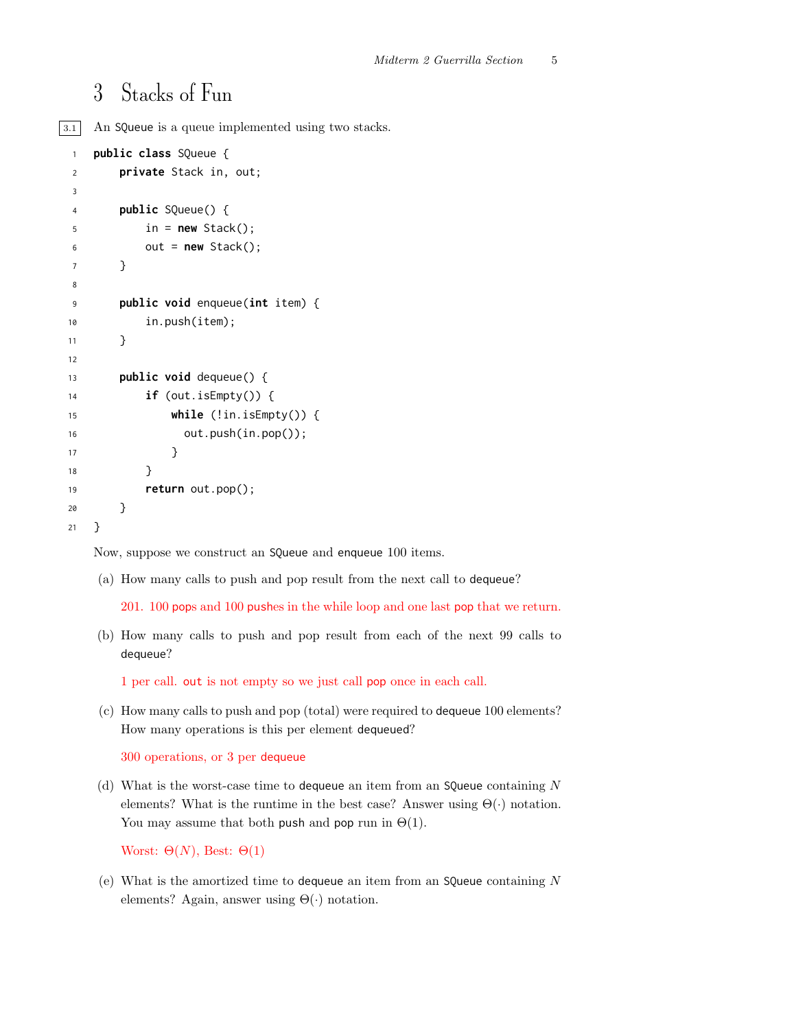# 3 Stacks of Fun

3.1 An SQueue is a queue implemented using two stacks.

```
1 public class SQueue {
2 private Stack in, out;
3
4 public SQueue() {
5 in = new Stack();
6 out = new Stack();
7 }
8
9 public void enqueue(int item) {
10 in.push(item);
11 }
12
13 public void dequeue() {
14 if (out.isEmpty()) {
15 while (!in.isEmpty()) {
16 out.push(in.pop());
17 }
18 }
19 return out.pop();
20 }
21 }
```
Now, suppose we construct an SQueue and enqueue 100 items.

(a) How many calls to push and pop result from the next call to dequeue?

201. 100 pops and 100 pushes in the while loop and one last pop that we return.

(b) How many calls to push and pop result from each of the next 99 calls to dequeue?

1 per call. out is not empty so we just call pop once in each call.

(c) How many calls to push and pop (total) were required to dequeue 100 elements? How many operations is this per element dequeued?

300 operations, or 3 per dequeue

(d) What is the worst-case time to dequeue an item from an SQueue containing  $N$ elements? What is the runtime in the best case? Answer using  $\Theta(\cdot)$  notation. You may assume that both push and pop run in  $\Theta(1)$ .

```
Worst: \Theta(N), Best: \Theta(1)
```
(e) What is the amortized time to dequeue an item from an SQueue containing  $N$ elements? Again, answer using  $\Theta(\cdot)$  notation.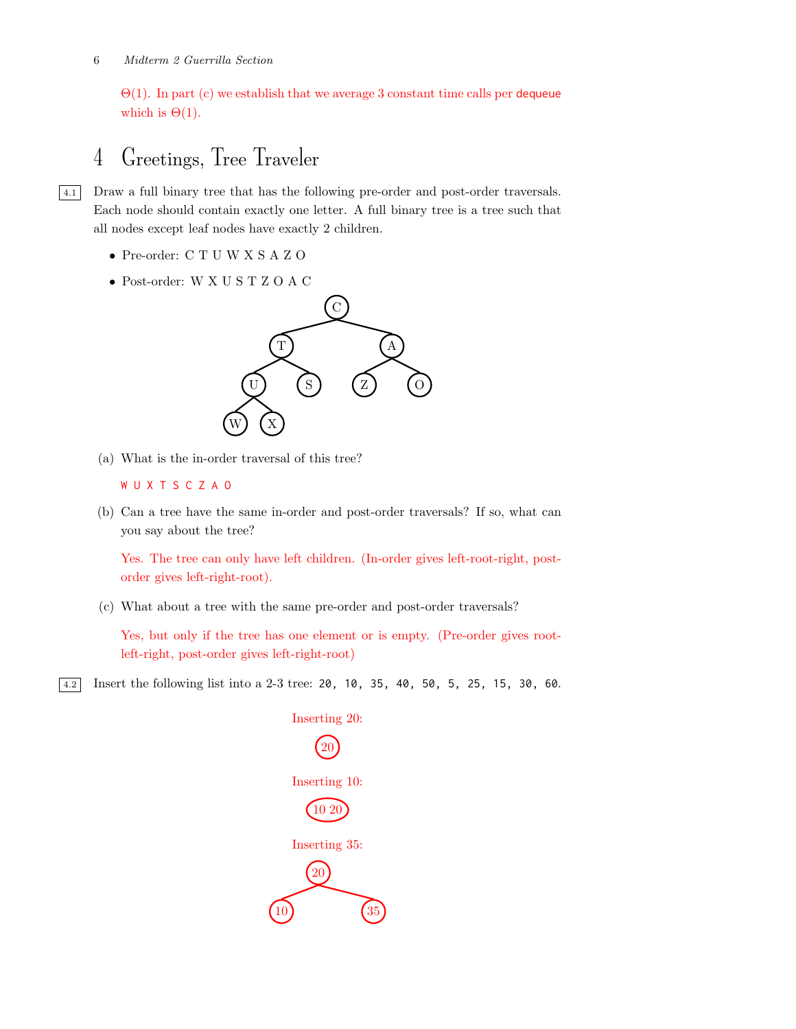$\Theta(1)$ . In part (c) we establish that we average 3 constant time calls per dequeue which is  $\Theta(1)$ .

# 4 Greetings, Tree Traveler

4.1 Draw a full binary tree that has the following pre-order and post-order traversals. Each node should contain exactly one letter. A full binary tree is a tree such that all nodes except leaf nodes have exactly 2 children.

- Pre-order: C T U W X S A Z O
- Post-order: W X U S T Z O A C



(a) What is the in-order traversal of this tree?

```
W U X T S C Z A O
```
(b) Can a tree have the same in-order and post-order traversals? If so, what can you say about the tree?

Yes. The tree can only have left children. (In-order gives left-root-right, postorder gives left-right-root).

(c) What about a tree with the same pre-order and post-order traversals?

Yes, but only if the tree has one element or is empty. (Pre-order gives rootleft-right, post-order gives left-right-root)

4.2 Insert the following list into a 2-3 tree: 20, 10, 35, 40, 50, 5, 25, 15, 30, 60.

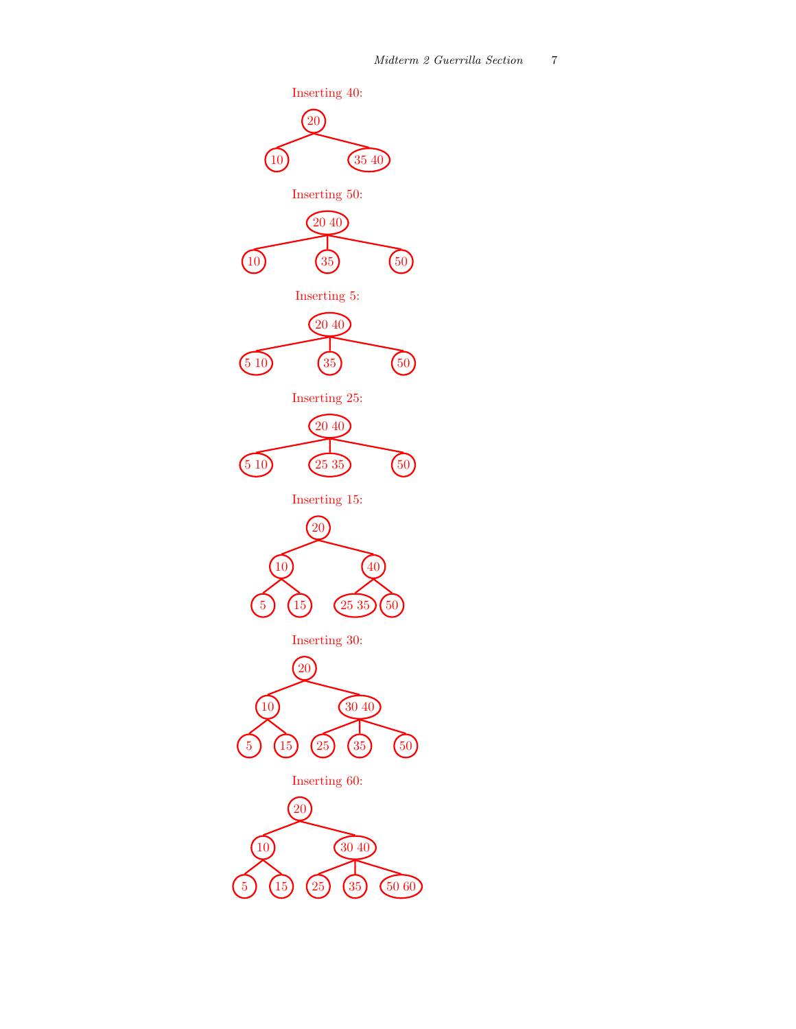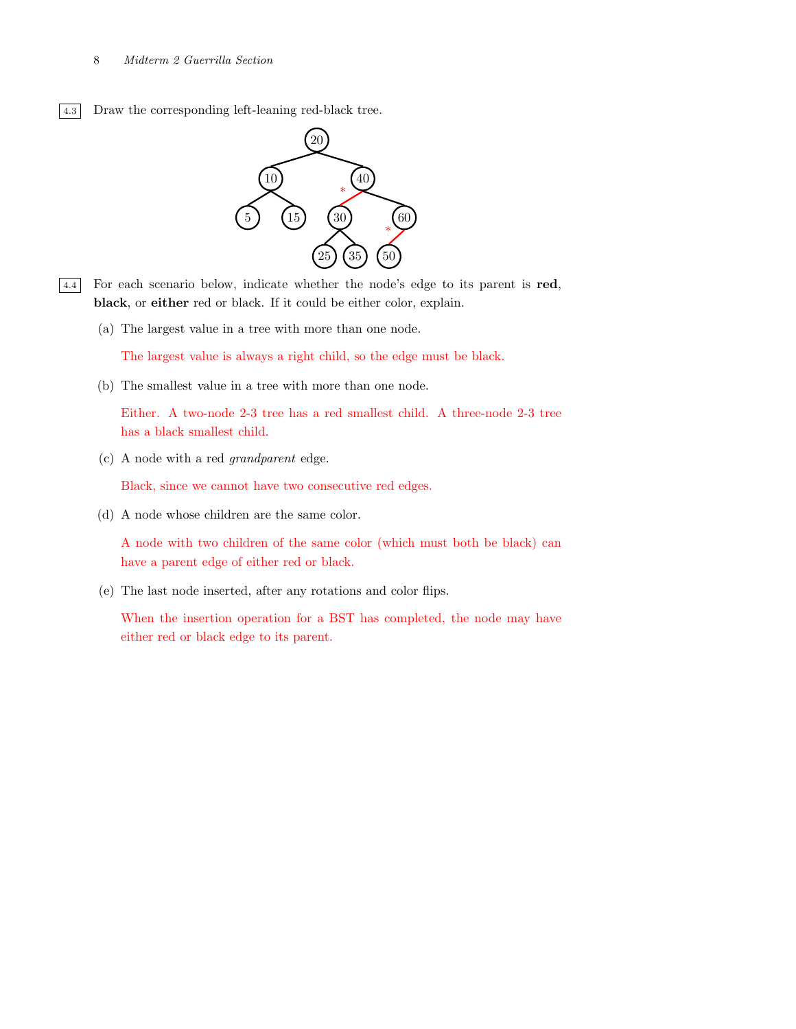4.3 Draw the corresponding left-leaning red-black tree.



- 4.4 For each scenario below, indicate whether the node's edge to its parent is red, black, or either red or black. If it could be either color, explain.
	- (a) The largest value in a tree with more than one node.

The largest value is always a right child, so the edge must be black.

(b) The smallest value in a tree with more than one node.

Either. A two-node 2-3 tree has a red smallest child. A three-node 2-3 tree has a black smallest child.

(c) A node with a red grandparent edge.

Black, since we cannot have two consecutive red edges.

(d) A node whose children are the same color.

A node with two children of the same color (which must both be black) can have a parent edge of either red or black.

(e) The last node inserted, after any rotations and color flips.

When the insertion operation for a BST has completed, the node may have either red or black edge to its parent.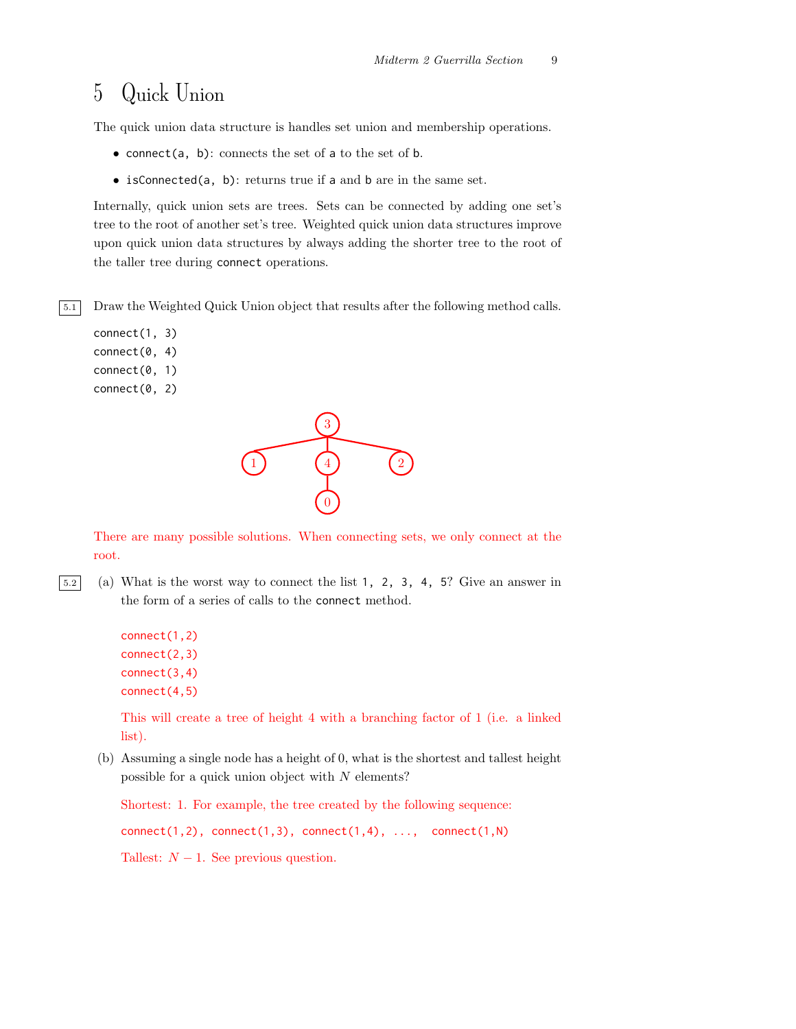# 5 Quick Union

The quick union data structure is handles set union and membership operations.

- connect(a, b): connects the set of a to the set of  $b$ .
- isConnected(a, b): returns true if a and b are in the same set.

Internally, quick union sets are trees. Sets can be connected by adding one set's tree to the root of another set's tree. Weighted quick union data structures improve upon quick union data structures by always adding the shorter tree to the root of the taller tree during connect operations.

5.1 Draw the Weighted Quick Union object that results after the following method calls.

```
connect(1, 3)
connect(0, 4)
connect(0, 1)
connect(0, 2)
```


There are many possible solutions. When connecting sets, we only connect at the root.

5.2 (a) What is the worst way to connect the list 1, 2, 3, 4, 5? Give an answer in the form of a series of calls to the connect method.

```
connect(1,2)
connect(2,3)
connect(3,4)
connect(4,5)
```
This will create a tree of height 4 with a branching factor of 1 (i.e. a linked list).

(b) Assuming a single node has a height of 0, what is the shortest and tallest height possible for a quick union object with  $N$  elements?

Shortest: 1. For example, the tree created by the following sequence:  $connect(1,2)$ ,  $connect(1,3)$ ,  $connect(1,4)$ , ...,  $connect(1,N)$ Tallest:  $N - 1$ . See previous question.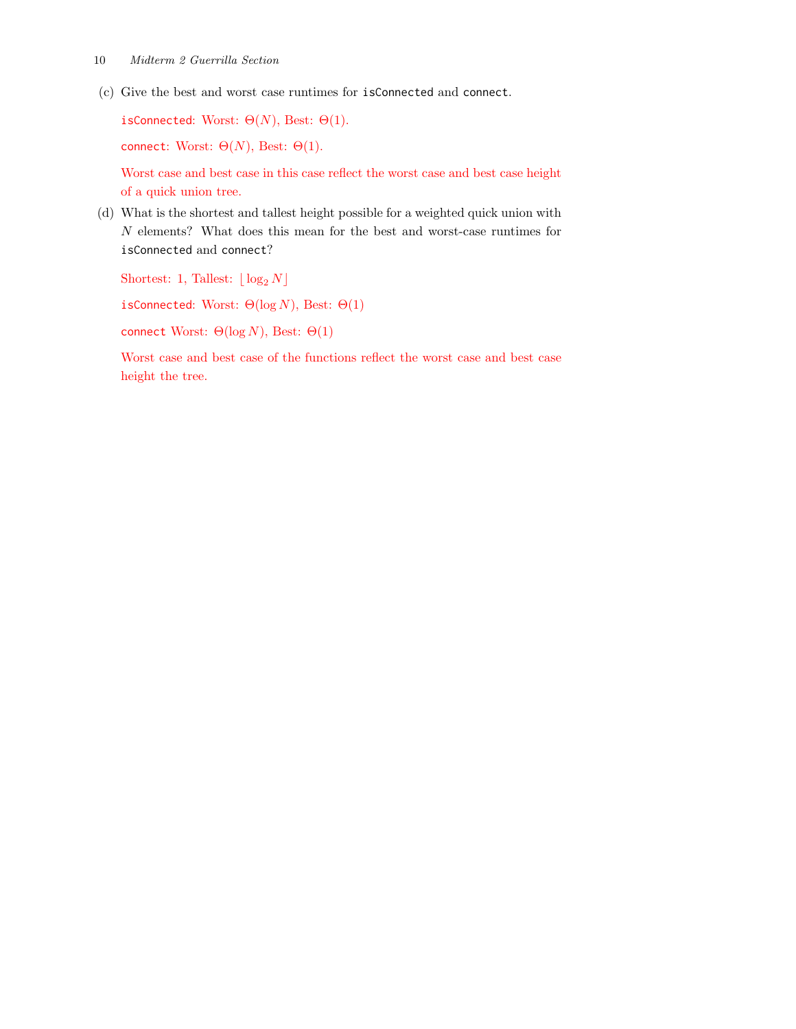(c) Give the best and worst case runtimes for isConnected and connect.

isConnected: Worst:  $\Theta(N)$ , Best:  $\Theta(1)$ .

connect: Worst:  $\Theta(N)$ , Best:  $\Theta(1)$ .

Worst case and best case in this case reflect the worst case and best case height of a quick union tree.

(d) What is the shortest and tallest height possible for a weighted quick union with N elements? What does this mean for the best and worst-case runtimes for isConnected and connect?

Shortest: 1, Tallest:  $\lfloor \log_2 N \rfloor$ 

isConnected: Worst:  $\Theta(\log N)$ , Best:  $\Theta(1)$ 

connect Worst:  $Θ(log N)$ , Best:  $Θ(1)$ 

Worst case and best case of the functions reflect the worst case and best case height the tree.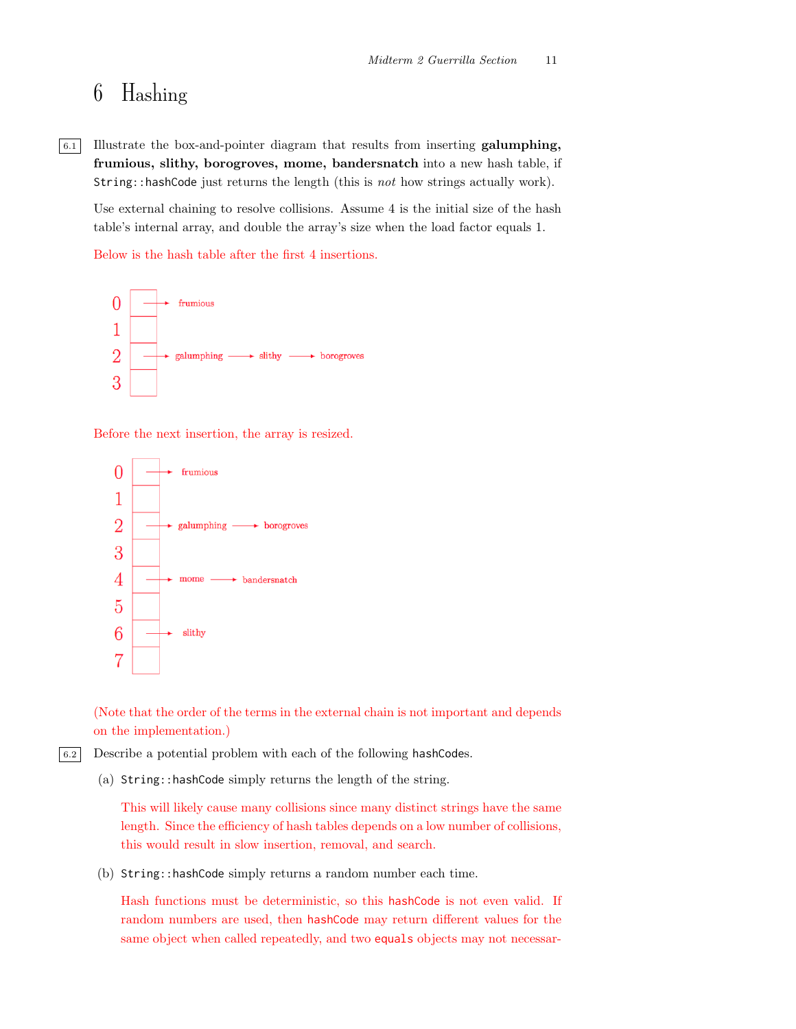# 6 Hashing

6.1 Illustrate the box-and-pointer diagram that results from inserting galumphing, frumious, slithy, borogroves, mome, bandersnatch into a new hash table, if String::hashCode just returns the length (this is not how strings actually work).

Use external chaining to resolve collisions. Assume 4 is the initial size of the hash table's internal array, and double the array's size when the load factor equals 1.

Below is the hash table after the first 4 insertions.



Before the next insertion, the array is resized.



(Note that the order of the terms in the external chain is not important and depends on the implementation.)

6.2 Describe a potential problem with each of the following hashCodes.

(a) String::hashCode simply returns the length of the string.

This will likely cause many collisions since many distinct strings have the same length. Since the efficiency of hash tables depends on a low number of collisions, this would result in slow insertion, removal, and search.

(b) String::hashCode simply returns a random number each time.

Hash functions must be deterministic, so this hashCode is not even valid. If random numbers are used, then hashCode may return different values for the same object when called repeatedly, and two equals objects may not necessar-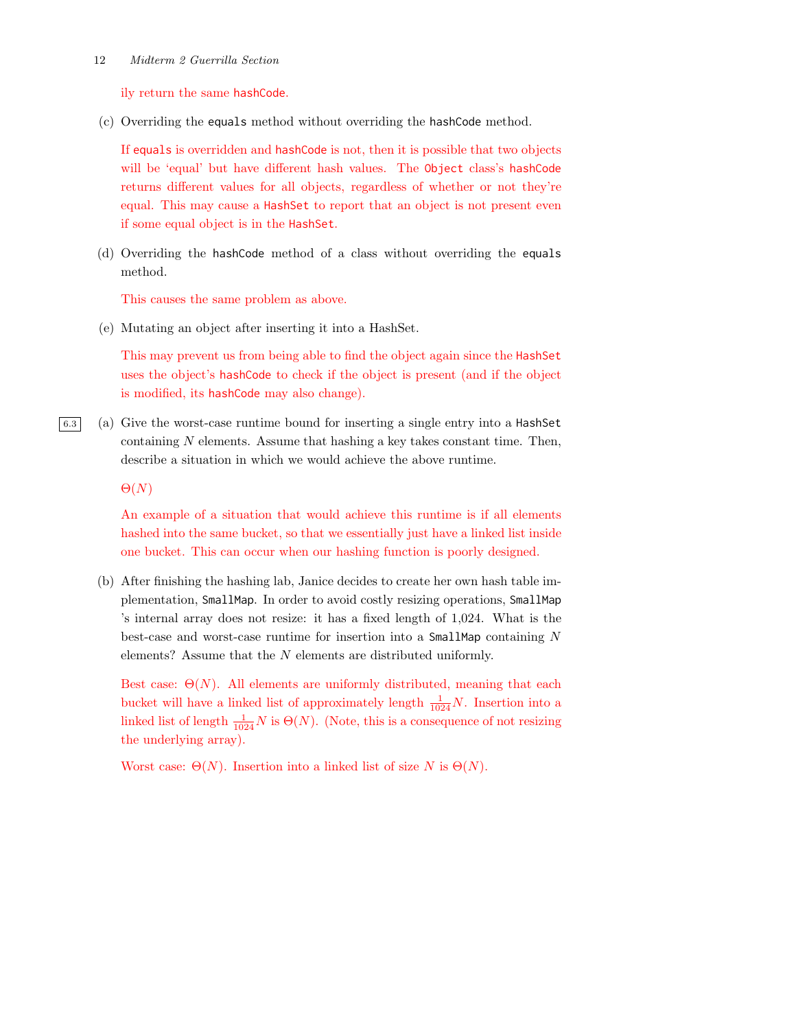ily return the same hashCode.

(c) Overriding the equals method without overriding the hashCode method.

If equals is overridden and hashCode is not, then it is possible that two objects will be 'equal' but have different hash values. The Object class's hashCode returns different values for all objects, regardless of whether or not they're equal. This may cause a HashSet to report that an object is not present even if some equal object is in the HashSet.

(d) Overriding the hashCode method of a class without overriding the equals method.

This causes the same problem as above.

(e) Mutating an object after inserting it into a HashSet.

This may prevent us from being able to find the object again since the HashSet uses the object's hashCode to check if the object is present (and if the object is modified, its hashCode may also change).

6.3 (a) Give the worst-case runtime bound for inserting a single entry into a HashSet containing  $N$  elements. Assume that hashing a key takes constant time. Then, describe a situation in which we would achieve the above runtime.

 $\Theta(N)$ 

An example of a situation that would achieve this runtime is if all elements hashed into the same bucket, so that we essentially just have a linked list inside one bucket. This can occur when our hashing function is poorly designed.

(b) After finishing the hashing lab, Janice decides to create her own hash table implementation, SmallMap. In order to avoid costly resizing operations, SmallMap 's internal array does not resize: it has a fixed length of 1,024. What is the best-case and worst-case runtime for insertion into a SmallMap containing N elements? Assume that the N elements are distributed uniformly.

Best case:  $\Theta(N)$ . All elements are uniformly distributed, meaning that each bucket will have a linked list of approximately length  $\frac{1}{1024}N$ . Insertion into a linked list of length  $\frac{1}{1024}N$  is  $\Theta(N)$ . (Note, this is a consequence of not resizing the underlying array).

Worst case:  $\Theta(N)$ . Insertion into a linked list of size N is  $\Theta(N)$ .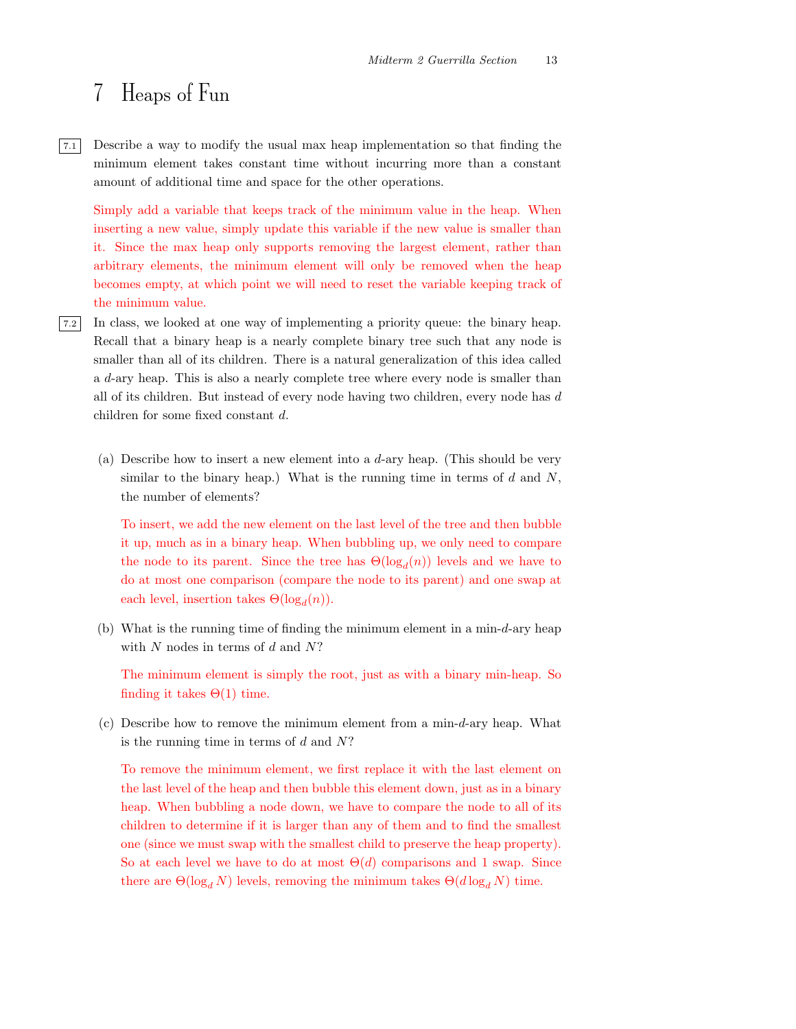### 7 Heaps of Fun

7.1 Describe a way to modify the usual max heap implementation so that finding the minimum element takes constant time without incurring more than a constant amount of additional time and space for the other operations.

Simply add a variable that keeps track of the minimum value in the heap. When inserting a new value, simply update this variable if the new value is smaller than it. Since the max heap only supports removing the largest element, rather than arbitrary elements, the minimum element will only be removed when the heap becomes empty, at which point we will need to reset the variable keeping track of the minimum value.

- 7.2 In class, we looked at one way of implementing a priority queue: the binary heap. Recall that a binary heap is a nearly complete binary tree such that any node is smaller than all of its children. There is a natural generalization of this idea called a d-ary heap. This is also a nearly complete tree where every node is smaller than all of its children. But instead of every node having two children, every node has d children for some fixed constant d.
	- (a) Describe how to insert a new element into a d-ary heap. (This should be very similar to the binary heap.) What is the running time in terms of  $d$  and  $N$ , the number of elements?

To insert, we add the new element on the last level of the tree and then bubble it up, much as in a binary heap. When bubbling up, we only need to compare the node to its parent. Since the tree has  $\Theta(\log_d(n))$  levels and we have to do at most one comparison (compare the node to its parent) and one swap at each level, insertion takes  $\Theta(\log_d(n))$ .

(b) What is the running time of finding the minimum element in a min-d-ary heap with  $N$  nodes in terms of  $d$  and  $N$ ?

The minimum element is simply the root, just as with a binary min-heap. So finding it takes  $\Theta(1)$  time.

(c) Describe how to remove the minimum element from a min-d-ary heap. What is the running time in terms of  $d$  and  $N$ ?

To remove the minimum element, we first replace it with the last element on the last level of the heap and then bubble this element down, just as in a binary heap. When bubbling a node down, we have to compare the node to all of its children to determine if it is larger than any of them and to find the smallest one (since we must swap with the smallest child to preserve the heap property). So at each level we have to do at most  $\Theta(d)$  comparisons and 1 swap. Since there are  $\Theta(\log_d N)$  levels, removing the minimum takes  $\Theta(d \log_d N)$  time.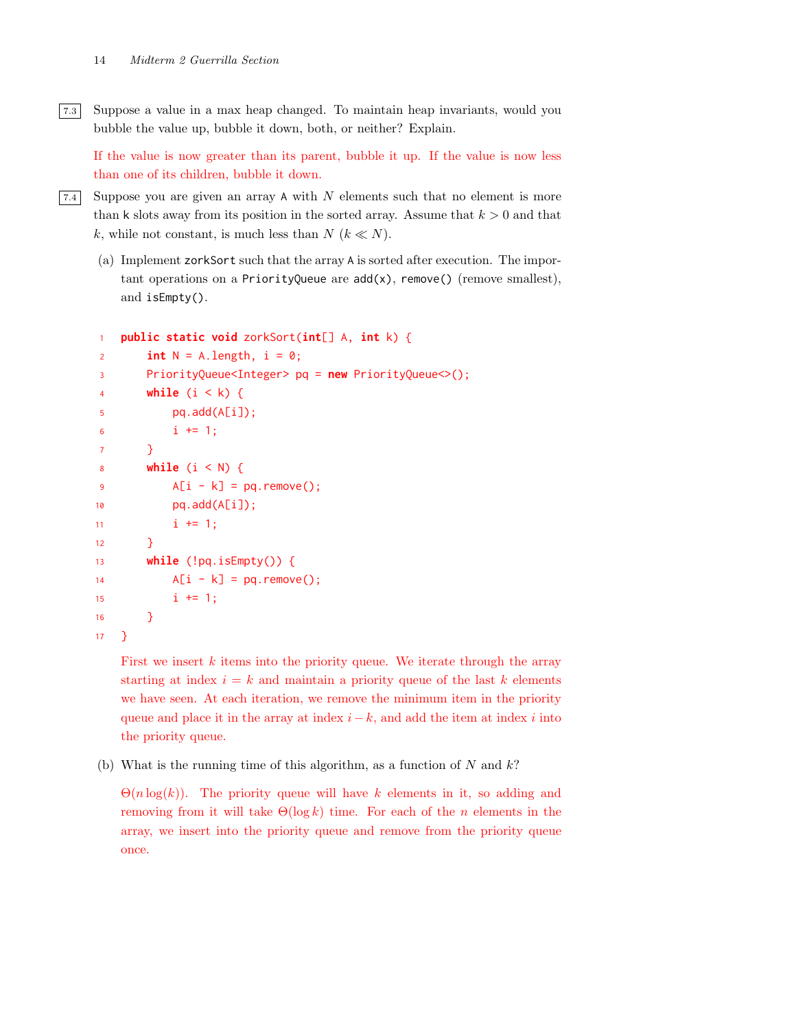7.3 Suppose a value in a max heap changed. To maintain heap invariants, would you bubble the value up, bubble it down, both, or neither? Explain.

If the value is now greater than its parent, bubble it up. If the value is now less than one of its children, bubble it down.

 $\overline{7.4}$  Suppose you are given an array A with N elements such that no element is more than k slots away from its position in the sorted array. Assume that  $k > 0$  and that k, while not constant, is much less than  $N (k \ll N)$ .

(a) Implement zorkSort such that the array A is sorted after execution. The important operations on a PriorityQueue are  $add(x)$ , remove() (remove smallest), and isEmpty().

```
1 public static void zorkSort(int[] A, int k) {
2 int N = A. length, i = 0;
3 PriorityQueue<Integer> pq = new PriorityQueue<>();
4 while (i < k) {
5 pq.add(A[i]);
6 i \neq 1;7 }
8 while (i < N) {
\mathsf{A}[i - k] = \mathsf{pq}.\mathsf{remove}();10 pq.add(A[i]);
11 i \neq 1;
12   }
13 while (!pq.isEmpty()) {
14 A[i - k] = pq. remove();15 i \neq 1;16 }
17 }
```
First we insert  $k$  items into the priority queue. We iterate through the array starting at index  $i = k$  and maintain a priority queue of the last k elements we have seen. At each iteration, we remove the minimum item in the priority queue and place it in the array at index  $i - k$ , and add the item at index i into the priority queue.

(b) What is the running time of this algorithm, as a function of  $N$  and  $k$ ?

 $\Theta(n \log(k))$ . The priority queue will have k elements in it, so adding and removing from it will take  $\Theta(\log k)$  time. For each of the *n* elements in the array, we insert into the priority queue and remove from the priority queue once.